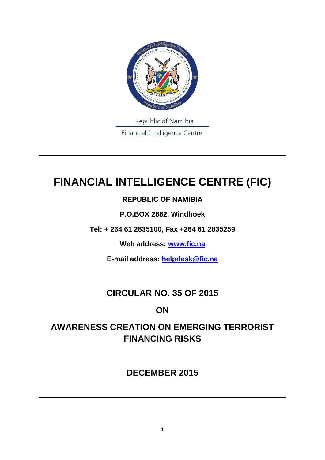

# **FINANCIAL INTELLIGENCE CENTRE (FIC)**

### **REPUBLIC OF NAMIBIA**

**P.O.BOX 2882, Windhoek**

**Tel: + 264 61 2835100, Fax +264 61 2835259**

**Web address: [www.fic.na](http://www.fic.na/)**

**E-mail address: [helpdesk@fic.na](mailto:helpdesk@fic.na)**

# **CIRCULAR NO. 35 OF 2015**

### **ON**

# **AWARENESS CREATION ON EMERGING TERRORIST FINANCING RISKS**

# **DECEMBER 2015**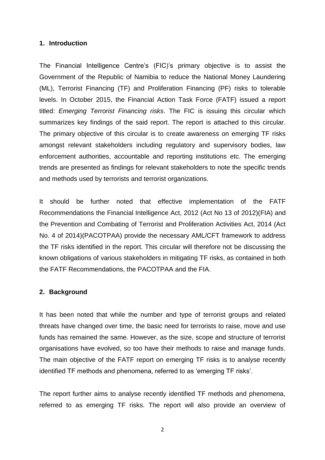#### **1. Introduction**

The Financial Intelligence Centre's (FIC)'s primary objective is to assist the Government of the Republic of Namibia to reduce the National Money Laundering (ML), Terrorist Financing (TF) and Proliferation Financing (PF) risks to tolerable levels. In October 2015, the Financial Action Task Force (FATF) issued a report titled: *Emerging Terrorist Financing risks*. The FIC is issuing this circular which summarizes key findings of the said report. The report is attached to this circular. The primary objective of this circular is to create awareness on emerging TF risks amongst relevant stakeholders including regulatory and supervisory bodies, law enforcement authorities, accountable and reporting institutions etc. The emerging trends are presented as findings for relevant stakeholders to note the specific trends and methods used by terrorists and terrorist organizations.

It should be further noted that effective implementation of the FATF Recommendations the Financial Intelligence Act, 2012 (Act No 13 of 2012)(FIA) and the Prevention and Combating of Terrorist and Proliferation Activities Act, 2014 (Act No. 4 of 2014)(PACOTPAA) provide the necessary AML/CFT framework to address the TF risks identified in the report. This circular will therefore not be discussing the known obligations of various stakeholders in mitigating TF risks, as contained in both the FATF Recommendations, the PACOTPAA and the FIA.

#### **2. Background**

It has been noted that while the number and type of terrorist groups and related threats have changed over time, the basic need for terrorists to raise, move and use funds has remained the same. However, as the size, scope and structure of terrorist organisations have evolved, so too have their methods to raise and manage funds. The main objective of the FATF report on emerging TF risks is to analyse recently identified TF methods and phenomena, referred to as 'emerging TF risks'.

The report further aims to analyse recently identified TF methods and phenomena, referred to as emerging TF risks. The report will also provide an overview of

2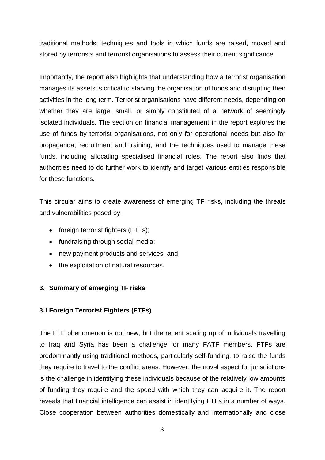traditional methods, techniques and tools in which funds are raised, moved and stored by terrorists and terrorist organisations to assess their current significance.

Importantly, the report also highlights that understanding how a terrorist organisation manages its assets is critical to starving the organisation of funds and disrupting their activities in the long term. Terrorist organisations have different needs, depending on whether they are large, small, or simply constituted of a network of seemingly isolated individuals. The section on financial management in the report explores the use of funds by terrorist organisations, not only for operational needs but also for propaganda, recruitment and training, and the techniques used to manage these funds, including allocating specialised financial roles. The report also finds that authorities need to do further work to identify and target various entities responsible for these functions.

This circular aims to create awareness of emerging TF risks, including the threats and vulnerabilities posed by:

- foreign terrorist fighters (FTFs);
- fundraising through social media;
- new payment products and services, and
- the exploitation of natural resources.

#### **3. Summary of emerging TF risks**

#### **3.1Foreign Terrorist Fighters (FTFs)**

The FTF phenomenon is not new, but the recent scaling up of individuals travelling to Iraq and Syria has been a challenge for many FATF members. FTFs are predominantly using traditional methods, particularly self-funding, to raise the funds they require to travel to the conflict areas. However, the novel aspect for jurisdictions is the challenge in identifying these individuals because of the relatively low amounts of funding they require and the speed with which they can acquire it. The report reveals that financial intelligence can assist in identifying FTFs in a number of ways. Close cooperation between authorities domestically and internationally and close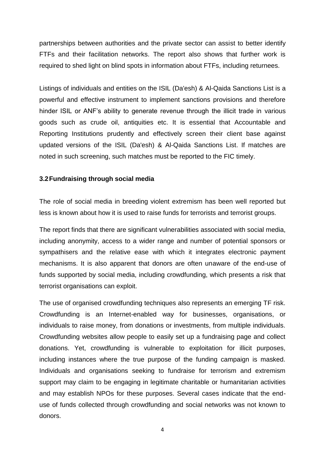partnerships between authorities and the private sector can assist to better identify FTFs and their facilitation networks. The report also shows that further work is required to shed light on blind spots in information about FTFs, including returnees.

Listings of individuals and entities on the ISIL (Da'esh) & Al-Qaida Sanctions List is a powerful and effective instrument to implement sanctions provisions and therefore hinder ISIL or ANF's ability to generate revenue through the illicit trade in various goods such as crude oil, antiquities etc. It is essential that Accountable and Reporting Institutions prudently and effectively screen their client base against updated versions of the ISIL (Da'esh) & Al-Qaida Sanctions List. If matches are noted in such screening, such matches must be reported to the FIC timely.

#### **3.2Fundraising through social media**

The role of social media in breeding violent extremism has been well reported but less is known about how it is used to raise funds for terrorists and terrorist groups.

The report finds that there are significant vulnerabilities associated with social media, including anonymity, access to a wider range and number of potential sponsors or sympathisers and the relative ease with which it integrates electronic payment mechanisms. It is also apparent that donors are often unaware of the end-use of funds supported by social media, including crowdfunding, which presents a risk that terrorist organisations can exploit.

The use of organised crowdfunding techniques also represents an emerging TF risk. Crowdfunding is an Internet-enabled way for businesses, organisations, or individuals to raise money, from donations or investments, from multiple individuals. Crowdfunding websites allow people to easily set up a fundraising page and collect donations. Yet, crowdfunding is vulnerable to exploitation for illicit purposes, including instances where the true purpose of the funding campaign is masked. Individuals and organisations seeking to fundraise for terrorism and extremism support may claim to be engaging in legitimate charitable or humanitarian activities and may establish NPOs for these purposes. Several cases indicate that the enduse of funds collected through crowdfunding and social networks was not known to donors.

4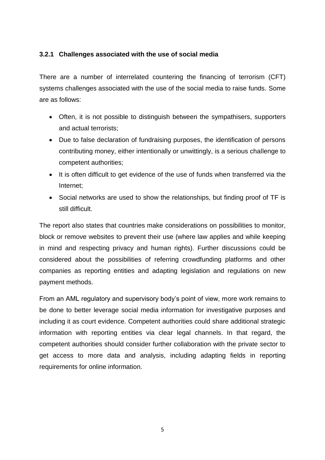#### **3.2.1 Challenges associated with the use of social media**

There are a number of interrelated countering the financing of terrorism (CFT) systems challenges associated with the use of the social media to raise funds. Some are as follows:

- Often, it is not possible to distinguish between the sympathisers, supporters and actual terrorists;
- Due to false declaration of fundraising purposes, the identification of persons contributing money, either intentionally or unwittingly, is a serious challenge to competent authorities;
- It is often difficult to get evidence of the use of funds when transferred via the Internet;
- Social networks are used to show the relationships, but finding proof of TF is still difficult.

The report also states that countries make considerations on possibilities to monitor, block or remove websites to prevent their use (where law applies and while keeping in mind and respecting privacy and human rights). Further discussions could be considered about the possibilities of referring crowdfunding platforms and other companies as reporting entities and adapting legislation and regulations on new payment methods.

From an AML regulatory and supervisory body's point of view, more work remains to be done to better leverage social media information for investigative purposes and including it as court evidence. Competent authorities could share additional strategic information with reporting entities via clear legal channels. In that regard, the competent authorities should consider further collaboration with the private sector to get access to more data and analysis, including adapting fields in reporting requirements for online information.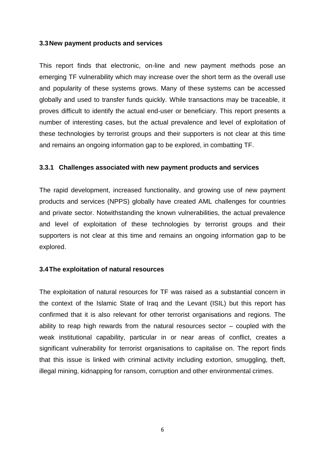#### **3.3New payment products and services**

This report finds that electronic, on-line and new payment methods pose an emerging TF vulnerability which may increase over the short term as the overall use and popularity of these systems grows. Many of these systems can be accessed globally and used to transfer funds quickly. While transactions may be traceable, it proves difficult to identify the actual end-user or beneficiary. This report presents a number of interesting cases, but the actual prevalence and level of exploitation of these technologies by terrorist groups and their supporters is not clear at this time and remains an ongoing information gap to be explored, in combatting TF.

#### **3.3.1 Challenges associated with new payment products and services**

The rapid development, increased functionality, and growing use of new payment products and services (NPPS) globally have created AML challenges for countries and private sector. Notwithstanding the known vulnerabilities, the actual prevalence and level of exploitation of these technologies by terrorist groups and their supporters is not clear at this time and remains an ongoing information gap to be explored.

#### **3.4The exploitation of natural resources**

The exploitation of natural resources for TF was raised as a substantial concern in the context of the Islamic State of Iraq and the Levant (ISIL) but this report has confirmed that it is also relevant for other terrorist organisations and regions. The ability to reap high rewards from the natural resources sector – coupled with the weak institutional capability, particular in or near areas of conflict, creates a significant vulnerability for terrorist organisations to capitalise on. The report finds that this issue is linked with criminal activity including extortion, smuggling, theft, illegal mining, kidnapping for ransom, corruption and other environmental crimes.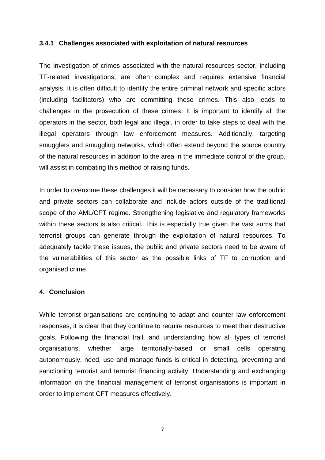#### **3.4.1 Challenges associated with exploitation of natural resources**

The investigation of crimes associated with the natural resources sector, including TF-related investigations, are often complex and requires extensive financial analysis. It is often difficult to identify the entire criminal network and specific actors (including facilitators) who are committing these crimes. This also leads to challenges in the prosecution of these crimes. It is important to identify all the operators in the sector, both legal and illegal, in order to take steps to deal with the illegal operators through law enforcement measures. Additionally, targeting smugglers and smuggling networks, which often extend beyond the source country of the natural resources in addition to the area in the immediate control of the group, will assist in combating this method of raising funds.

In order to overcome these challenges it will be necessary to consider how the public and private sectors can collaborate and include actors outside of the traditional scope of the AML/CFT regime. Strengthening legislative and regulatory frameworks within these sectors is also critical. This is especially true given the vast sums that terrorist groups can generate through the exploitation of natural resources. To adequately tackle these issues, the public and private sectors need to be aware of the vulnerabilities of this sector as the possible links of TF to corruption and organised crime.

#### **4. Conclusion**

While terrorist organisations are continuing to adapt and counter law enforcement responses, it is clear that they continue to require resources to meet their destructive goals. Following the financial trail, and understanding how all types of terrorist organisations, whether large territorially-based or small cells operating autonomously, need, use and manage funds is critical in detecting, preventing and sanctioning terrorist and terrorist financing activity. Understanding and exchanging information on the financial management of terrorist organisations is important in order to implement CFT measures effectively.

7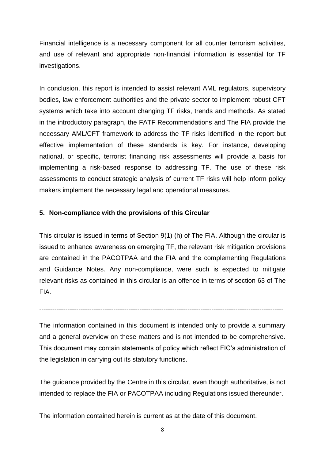Financial intelligence is a necessary component for all counter terrorism activities, and use of relevant and appropriate non-financial information is essential for TF investigations.

In conclusion, this report is intended to assist relevant AML regulators, supervisory bodies, law enforcement authorities and the private sector to implement robust CFT systems which take into account changing TF risks, trends and methods. As stated in the introductory paragraph, the FATF Recommendations and The FIA provide the necessary AML/CFT framework to address the TF risks identified in the report but effective implementation of these standards is key. For instance, developing national, or specific, terrorist financing risk assessments will provide a basis for implementing a risk-based response to addressing TF. The use of these risk assessments to conduct strategic analysis of current TF risks will help inform policy makers implement the necessary legal and operational measures.

#### **5. Non-compliance with the provisions of this Circular**

This circular is issued in terms of Section 9(1) (h) of The FIA. Although the circular is issued to enhance awareness on emerging TF, the relevant risk mitigation provisions are contained in the PACOTPAA and the FIA and the complementing Regulations and Guidance Notes. Any non-compliance, were such is expected to mitigate relevant risks as contained in this circular is an offence in terms of section 63 of The FIA.

The information contained in this document is intended only to provide a summary and a general overview on these matters and is not intended to be comprehensive. This document may contain statements of policy which reflect FIC's administration of the legislation in carrying out its statutory functions.

----------------------------------------------------------------------------------------------------------------

The guidance provided by the Centre in this circular, even though authoritative, is not intended to replace the FIA or PACOTPAA including Regulations issued thereunder.

The information contained herein is current as at the date of this document.